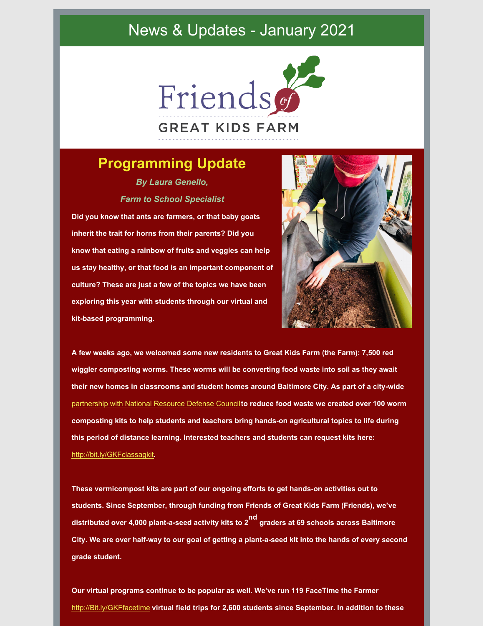### News & Updates - January 2021



### **Programming Update**

*By Laura Genello, Farm to School Specialist*

**Did you know that ants are farmers, or that baby goats inherit the trait for horns from their parents? Did you know that eating a rainbow of fruits and veggies can help us stay healthy, or that food is an important component of culture? These are just a few of the topics we have been exploring this year with students through our virtual and kit-based programming.**



**A few weeks ago, we welcomed some new residents to Great Kids Farm (the Farm): 7,500 red wiggler composting worms. These worms will be converting food waste into soil as they await their new homes in classrooms and student homes around Baltimore City. As part of a city-wide** [partnership](https://www.nrdc.org/resources/food-matters-baltimore-reimagining-waste-wealth) with National Resource Defense Council**to reduce food waste we created over 100 worm composting kits to help students and teachers bring hands-on agricultural topics to life during this period of distance learning. Interested teachers and students can request kits here:** <http://bit.ly/GKFclassagkit>**.**

**These vermicompost kits are part of our ongoing efforts to get hands-on activities out to students. Since September, through funding from Friends of Great Kids Farm (Friends), we've distributed over 4,000 plant-a-seed activity kits to 2 nd graders at 69 schools across Baltimore** City. We are over half-way to our goal of getting a plant-a-seed kit into the hands of every second **grade student.**

**Our virtual programs continue to be popular as well. We've run 119 FaceTime the Farmer** [http://Bit.ly/GKFfacetime](http://bit.ly/GKFfacetime) **virtual field trips for 2,600 students since September. In addition to these**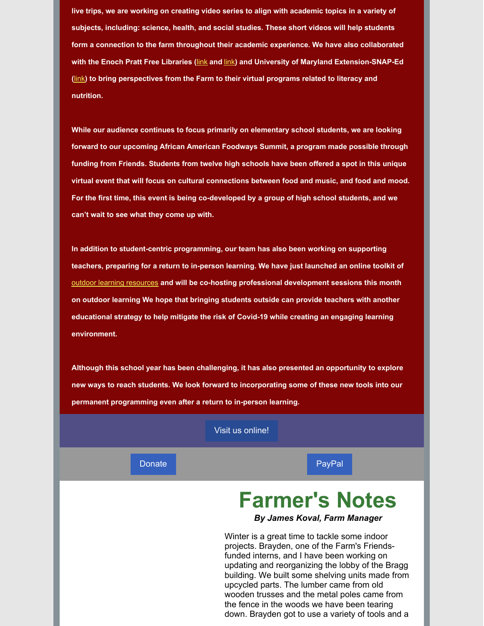**live trips, we are working on creating video series to align with academic topics in a variety of subjects, including: science, health, and social studies. These short videos will help students form a connection to the farm throughout their academic experience. We have also collaborated with the Enoch Pratt Free Libraries (**[link](https://www.facebook.com/theprattlibrary/videos/2791454354454022) **and** [link](https://www.facebook.com/theprattlibrary/videos/903376047066878)**) and University of Maryland Extension-SNAP-Ed (**[link](https://www.facebook.com/EatSmartMD/videos/850796632379550)**) to bring perspectives from the Farm to their virtual programs related to literacy and nutrition.**

**While our audience continues to focus primarily on elementary school students, we are looking forward to our upcoming African American Foodways Summit, a program made possible through funding from Friends. Students from twelve high schools have been offered a spot in this unique virtual event that will focus on cultural connections between food and music, and food and mood. For the first time, this event is being co-developed by a group of high school students, and we can't wait to see what they come up with.**

**In addition to student-centric programming, our team has also been working on supporting teachers, preparing for a return to in-person learning. We have just launched an online toolkit of** outdoor learning [resources](https://sites.google.com/bcps.k12.md.us/outdoor-learning/home) **and will be co-hosting professional development sessions this month on outdoor learning We hope that bringing students outside can provide teachers with another educational strategy to help mitigate the risk of Covid-19 while creating an engaging learning environment.**

**Although this school year has been challenging, it has also presented an opportunity to explore new ways to reach students. We look forward to incorporating some of these new tools into our permanent programming even after a return to in-person learning.**

#### Visit us [online!](http://www.friendsgkf.org)

[Donate](https://crm.bloomerang.co/HostedDonation?ApiKey=pub_0a251e5b-f90f-11ea-8e6c-065714152323&WidgetId=464896) **[PayPal](https://www.paypal.com/donate/?cmd=_s-xclick&hosted_button_id=R72TZC4Q9GUGA&source=url)** 

## **Farmer's Notes**

#### *By James Koval, Farm Manager*

Winter is a great time to tackle some indoor projects. Brayden, one of the Farm's Friendsfunded interns, and I have been working on updating and reorganizing the lobby of the Bragg building. We built some shelving units made from upcycled parts. The lumber came from old wooden trusses and the metal poles came from the fence in the woods we have been tearing down. Brayden got to use a variety of tools and a